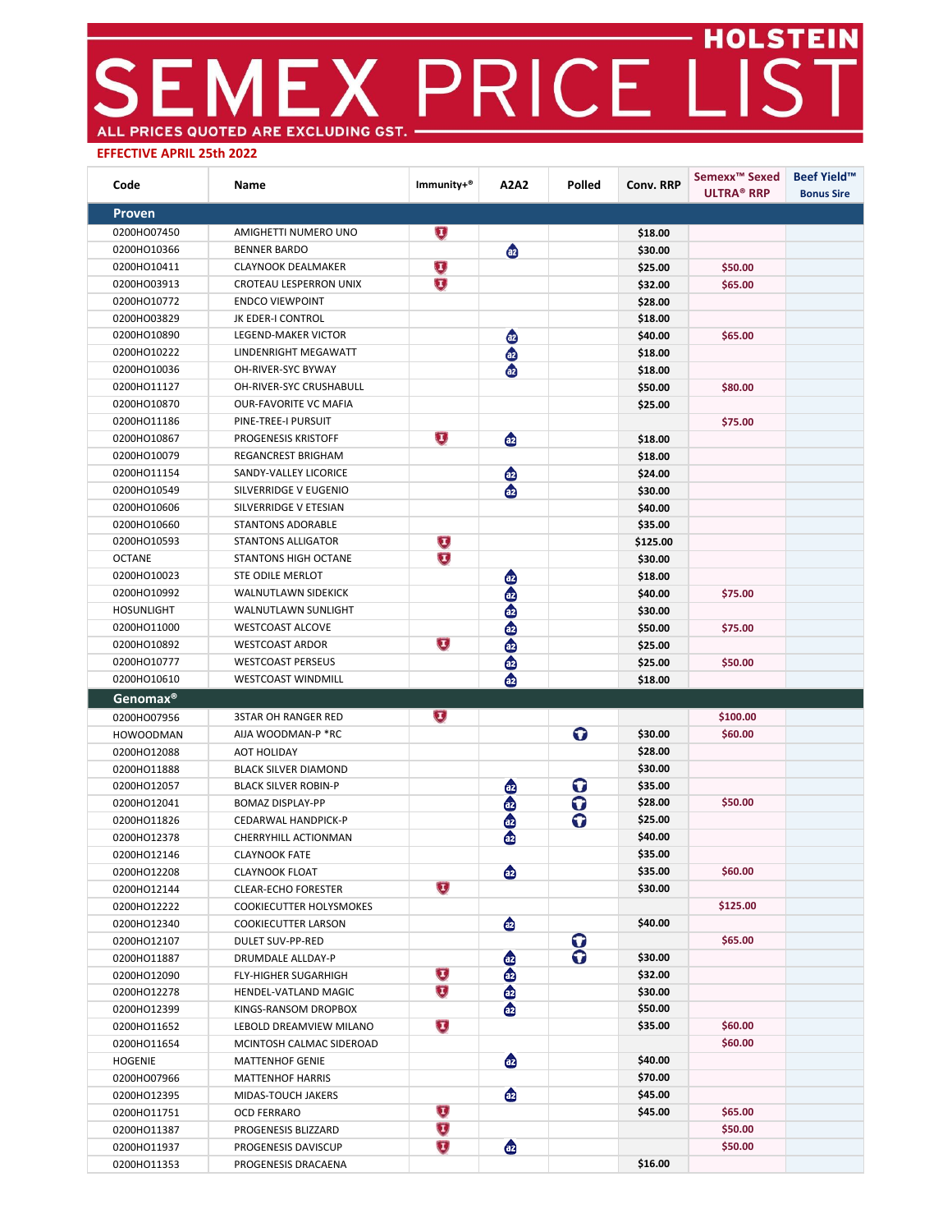## EMEX PRICE LIST ALL PRICES QUOTED ARE EXCLUDING GST. -

## **EFFECTIVE APRIL 25th 2022**

| Code                       | Name                                       | Immunity+®              | A2A2             | Polled                  | Conv. RRP | Semexx <sup>™</sup> Sexed<br><b>ULTRA® RRP</b> | <b>Beef Yield™</b><br><b>Bonus Sire</b> |
|----------------------------|--------------------------------------------|-------------------------|------------------|-------------------------|-----------|------------------------------------------------|-----------------------------------------|
| <b>Proven</b>              |                                            |                         |                  |                         |           |                                                |                                         |
| 0200HO07450                | AMIGHETTI NUMERO UNO                       | $\bigcup$               |                  |                         | \$18.00   |                                                |                                         |
| 0200HO10366                | <b>BENNER BARDO</b>                        |                         |                  |                         | \$30.00   |                                                |                                         |
| 0200HO10411                | <b>CLAYNOOK DEALMAKER</b>                  | $\mathbf U$             |                  |                         | \$25.00   | \$50.00                                        |                                         |
| 0200HO03913                | CROTEAU LESPERRON UNIX                     | $\overline{\mathbf{U}}$ |                  |                         | \$32.00   | \$65.00                                        |                                         |
| 0200HO10772                | <b>ENDCO VIEWPOINT</b>                     |                         |                  |                         | \$28.00   |                                                |                                         |
| 0200HO03829                | JK EDER-I CONTROL                          |                         |                  |                         | \$18.00   |                                                |                                         |
| 0200HO10890                | LEGEND-MAKER VICTOR                        |                         | $\bullet$        |                         | \$40.00   | \$65.00                                        |                                         |
| 0200HO10222                | LINDENRIGHT MEGAWATT                       |                         | $\ddot{\bullet}$ |                         | \$18.00   |                                                |                                         |
| 0200HO10036                | OH-RIVER-SYC BYWAY                         |                         | $\ddot{\bullet}$ |                         | \$18.00   |                                                |                                         |
| 0200HO11127                | OH-RIVER-SYC CRUSHABULL                    |                         |                  |                         | \$50.00   | \$80.00                                        |                                         |
| 0200HO10870                | <b>OUR-FAVORITE VC MAFIA</b>               |                         |                  |                         | \$25.00   |                                                |                                         |
| 0200HO11186                | PINE-TREE-I PURSUIT                        |                         |                  |                         |           | \$75.00                                        |                                         |
| 0200HO10867                | PROGENESIS KRISTOFF                        | $\mathbf{U}$            | $\bullet$        |                         | \$18.00   |                                                |                                         |
| 0200HO10079                | REGANCREST BRIGHAM                         |                         |                  |                         | \$18.00   |                                                |                                         |
| 0200HO11154                | SANDY-VALLEY LICORICE                      |                         | $\bullet$        |                         | \$24.00   |                                                |                                         |
| 0200HO10549                | SILVERRIDGE V EUGENIO                      |                         | ⊕                |                         | \$30.00   |                                                |                                         |
| 0200HO10606                | SILVERRIDGE V ETESIAN                      |                         |                  |                         | \$40.00   |                                                |                                         |
| 0200HO10660                | <b>STANTONS ADORABLE</b>                   |                         |                  |                         | \$35.00   |                                                |                                         |
| 0200HO10593                | STANTONS ALLIGATOR                         | Ū                       |                  |                         | \$125.00  |                                                |                                         |
| <b>OCTANE</b>              | STANTONS HIGH OCTANE                       | U                       |                  |                         | \$30.00   |                                                |                                         |
| 0200HO10023                | STE ODILE MERLOT                           |                         | ⊕                |                         | \$18.00   |                                                |                                         |
| 0200HO10992                | WALNUTLAWN SIDEKICK                        |                         | ⊕                |                         | \$40.00   | \$75.00                                        |                                         |
| <b>HOSUNLIGHT</b>          | WALNUTLAWN SUNLIGHT                        |                         |                  |                         | \$30.00   |                                                |                                         |
| 0200HO11000                | <b>WESTCOAST ALCOVE</b>                    |                         |                  |                         | \$50.00   | \$75.00                                        |                                         |
| 0200HO10892                | <b>WESTCOAST ARDOR</b>                     | U                       | $\bullet$        |                         | \$25.00   |                                                |                                         |
| 0200HO10777                | <b>WESTCOAST PERSEUS</b>                   |                         |                  |                         | \$25.00   | \$50.00                                        |                                         |
| 0200HO10610                | <b>WESTCOAST WINDMILL</b>                  |                         | $\bullet$        |                         | \$18.00   |                                                |                                         |
| Genomax <sup>®</sup>       |                                            |                         |                  |                         |           |                                                |                                         |
| 0200HO07956                | <b>3STAR OH RANGER RED</b>                 | U                       |                  |                         |           | \$100.00                                       |                                         |
| <b>HOWOODMAN</b>           | AIJA WOODMAN-P *RC                         |                         |                  | $\mathbf o$             | \$30.00   | \$60.00                                        |                                         |
| 0200HO12088                | AOT HOLIDAY                                |                         |                  |                         | \$28.00   |                                                |                                         |
| 0200HO11888                | <b>BLACK SILVER DIAMOND</b>                |                         |                  |                         | \$30.00   |                                                |                                         |
| 0200HO12057                | <b>BLACK SILVER ROBIN-P</b>                |                         | ⊕                | O                       | \$35.00   |                                                |                                         |
| 0200HO12041                | <b>BOMAZ DISPLAY-PP</b>                    |                         |                  | O                       | \$28.00   | \$50.00                                        |                                         |
| 0200HO11826                | CEDARWAL HANDPICK-P                        |                         | $\bullet$        | O                       | \$25.00   |                                                |                                         |
| 0200HO12378                | CHERRYHILL ACTIONMAN                       |                         | ⊕                |                         | \$40.00   |                                                |                                         |
| 0200HO12146                | <b>CLAYNOOK FATE</b>                       |                         |                  |                         | \$35.00   |                                                |                                         |
| 0200HO12208                | <b>CLAYNOOK FLOAT</b>                      |                         | ⊕                |                         | \$35.00   | \$60.00                                        |                                         |
| 0200HO12144                | <b>CLEAR-ECHO FORESTER</b>                 | $\mathbf{U}$            |                  |                         | \$30.00   |                                                |                                         |
| 0200HO12222                | COOKIECUTTER HOLYSMOKES                    |                         |                  |                         |           | \$125.00                                       |                                         |
| 0200HO12340                | COOKIECUTTER LARSON                        |                         | ⊕                |                         | \$40.00   |                                                |                                         |
| 0200HO12107                | <b>DULET SUV-PP-RED</b>                    |                         |                  | 0                       |           | \$65.00                                        |                                         |
| 0200HO11887                | DRUMDALE ALLDAY-P                          |                         | ⊕                | $\overline{\mathbf{o}}$ | \$30.00   |                                                |                                         |
| 0200HO12090                | <b>FLY-HIGHER SUGARHIGH</b>                | U                       | ⊕                |                         | \$32.00   |                                                |                                         |
| 0200HO12278                | HENDEL-VATLAND MAGIC                       | U                       | ⊕                |                         | \$30.00   |                                                |                                         |
| 0200HO12399                | KINGS-RANSOM DROPBOX                       |                         | ⊕                |                         | \$50.00   |                                                |                                         |
| 0200HO11652                | LEBOLD DREAMVIEW MILANO                    | Ū                       |                  |                         | \$35.00   | \$60.00                                        |                                         |
| 0200HO11654                | MCINTOSH CALMAC SIDEROAD                   |                         |                  |                         |           | \$60.00                                        |                                         |
| <b>HOGENIE</b>             | <b>MATTENHOF GENIE</b>                     |                         | ⊕                |                         | \$40.00   |                                                |                                         |
| 0200HO07966                | <b>MATTENHOF HARRIS</b>                    |                         |                  |                         | \$70.00   |                                                |                                         |
|                            |                                            |                         | ⊕                |                         | \$45.00   |                                                |                                         |
| 0200HO12395                | MIDAS-TOUCH JAKERS                         | U                       |                  |                         | \$45.00   | \$65.00                                        |                                         |
| 0200HO11751                | <b>OCD FERRARO</b>                         | Ū                       |                  |                         |           | \$50.00                                        |                                         |
| 0200HO11387<br>0200HO11937 | PROGENESIS BLIZZARD                        | U                       | ⊕                |                         |           | \$50.00                                        |                                         |
| 0200HO11353                | PROGENESIS DAVISCUP<br>PROGENESIS DRACAENA |                         |                  |                         | \$16.00   |                                                |                                         |
|                            |                                            |                         |                  |                         |           |                                                |                                         |